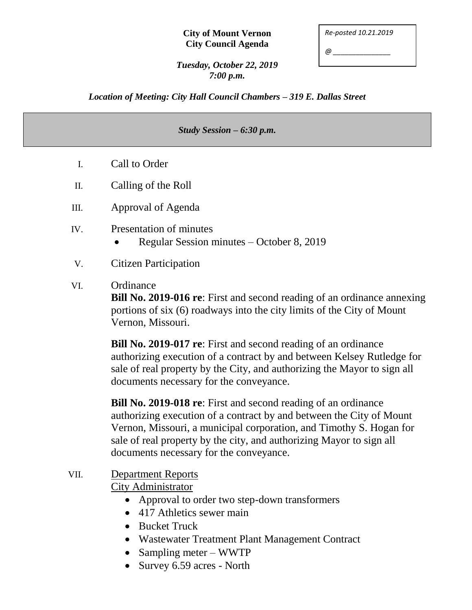#### **City of Mount Vernon City Council Agenda**

| Re-posted 10.21.2019 |  |
|----------------------|--|
| @                    |  |

*Tuesday, October 22, 2019 7:00 p.m.*

*Location of Meeting: City Hall Council Chambers – 319 E. Dallas Street*

#### *Study Session – 6:30 p.m.*

- I. Call to Order
- II. Calling of the Roll
- III. Approval of Agenda
- IV. Presentation of minutes
	- Regular Session minutes October 8, 2019
- V. Citizen Participation

### VI. Ordinance

**Bill No. 2019-016 re**: First and second reading of an ordinance annexing portions of six (6) roadways into the city limits of the City of Mount Vernon, Missouri.

**Bill No. 2019-017 re**: First and second reading of an ordinance authorizing execution of a contract by and between Kelsey Rutledge for sale of real property by the City, and authorizing the Mayor to sign all documents necessary for the conveyance.

**Bill No. 2019-018 re**: First and second reading of an ordinance authorizing execution of a contract by and between the City of Mount Vernon, Missouri, a municipal corporation, and Timothy S. Hogan for sale of real property by the city, and authorizing Mayor to sign all documents necessary for the conveyance.

# VII. Department Reports

City Administrator

- Approval to order two step-down transformers
- 417 Athletics sewer main
- Bucket Truck
- Wastewater Treatment Plant Management Contract
- Sampling meter WWTP
- Survey 6.59 acres North